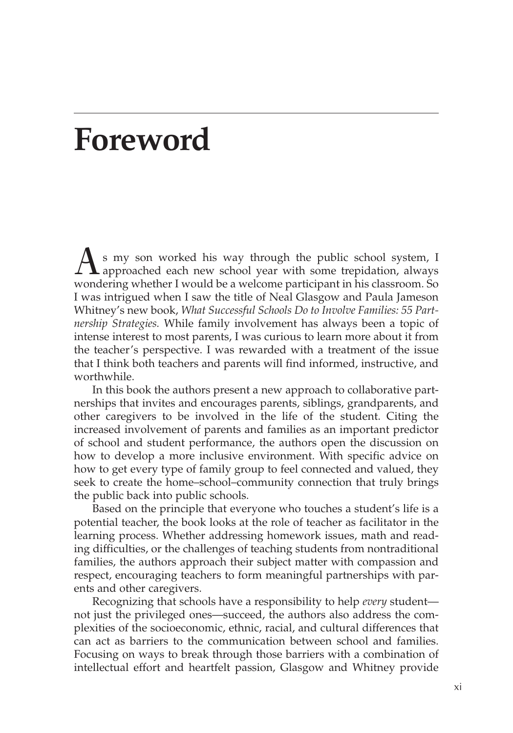## **Foreword**

As my son worked his way through the public school system, I approached each new school year with some trepidation, always wondering whether I would be a welcome participant in his classroom. So I was intrigued when I saw the title of Neal Glasgow and Paula Jameson Whitney's new book, *What Successful Schools Do to Involve Families: 55 Partnership Strategies.* While family involvement has always been a topic of intense interest to most parents, I was curious to learn more about it from the teacher's perspective. I was rewarded with a treatment of the issue that I think both teachers and parents will find informed, instructive, and worthwhile.

In this book the authors present a new approach to collaborative partnerships that invites and encourages parents, siblings, grandparents, and other caregivers to be involved in the life of the student. Citing the increased involvement of parents and families as an important predictor of school and student performance, the authors open the discussion on how to develop a more inclusive environment. With specific advice on how to get every type of family group to feel connected and valued, they seek to create the home–school–community connection that truly brings the public back into public schools.

Based on the principle that everyone who touches a student's life is a potential teacher, the book looks at the role of teacher as facilitator in the learning process. Whether addressing homework issues, math and reading difficulties, or the challenges of teaching students from nontraditional families, the authors approach their subject matter with compassion and respect, encouraging teachers to form meaningful partnerships with parents and other caregivers.

Recognizing that schools have a responsibility to help *every* student not just the privileged ones—succeed, the authors also address the complexities of the socioeconomic, ethnic, racial, and cultural differences that can act as barriers to the communication between school and families. Focusing on ways to break through those barriers with a combination of intellectual effort and heartfelt passion, Glasgow and Whitney provide